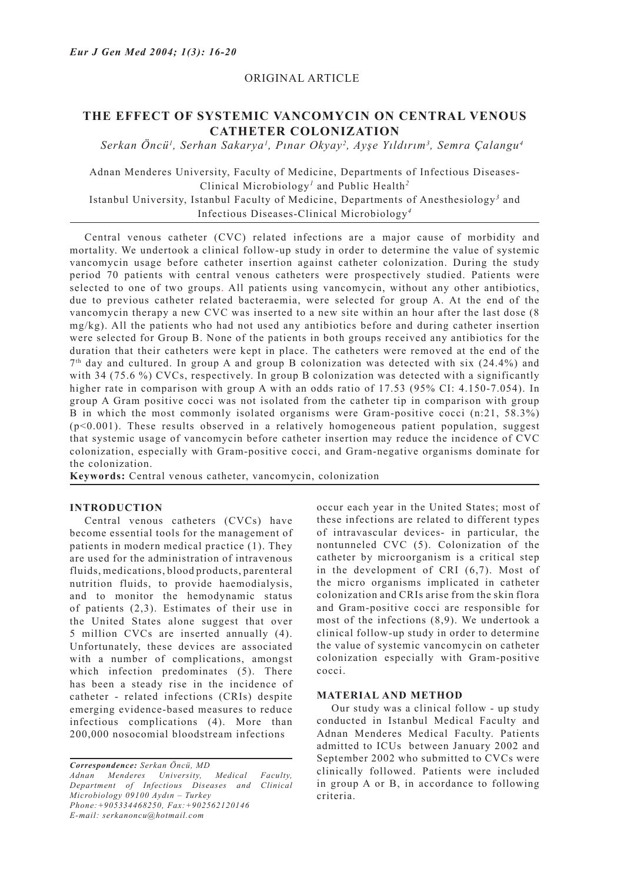## ORIGINAL ARTICLE

# **THE EFFECT OF SYSTEMIC VANCOMYCIN ON CENTRAL VENOUS CATHETER COLONIZATION**

*Serkan Öncü1 , Serhan Sakarya1 , Pınar Okyay<sup>2</sup> , Ayşe Yıldırım<sup>3</sup> , Semra Çalangu<sup>4</sup>*

Adnan Menderes University, Faculty of Medicine, Departments of Infectious Diseases-Clinical Microbiology*<sup>1</sup>* and Public Health*<sup>2</sup>*

Istanbul University, Istanbul Faculty of Medicine, Departments of Anesthesiology*<sup>3</sup>* and Infectious Diseases-Clinical Microbiology*<sup>4</sup>*

Central venous catheter (CVC) related infections are a major cause of morbidity and mortality. We undertook a clinical follow-up study in order to determine the value of systemic vancomycin usage before catheter insertion against catheter colonization. During the study period 70 patients with central venous catheters were prospectively studied. Patients were selected to one of two groups. All patients using vancomycin, without any other antibiotics, due to previous catheter related bacteraemia, were selected for group A. At the end of the vancomycin therapy a new CVC was inserted to a new site within an hour after the last dose (8 mg/kg). All the patients who had not used any antibiotics before and during catheter insertion were selected for Group B. None of the patients in both groups received any antibiotics for the duration that their catheters were kept in place. The catheters were removed at the end of the 7th day and cultured. In group A and group B colonization was detected with six (24.4%) and with 34 (75.6 %) CVCs, respectively. In group B colonization was detected with a significantly higher rate in comparison with group A with an odds ratio of 17.53 (95% CI: 4.150-7.054). In group A Gram positive cocci was not isolated from the catheter tip in comparison with group B in which the most commonly isolated organisms were Gram-positive cocci (n:21, 58.3%) (p<0.001). These results observed in a relatively homogeneous patient population, suggest that systemic usage of vancomycin before catheter insertion may reduce the incidence of CVC colonization, especially with Gram-positive cocci, and Gram-negative organisms dominate for the colonization.

**Keywords:** Central venous catheter, vancomycin, colonization

#### **INTRODUCTION**

Central venous catheters (CVCs) have become essential tools for the management of patients in modern medical practice (1). They are used for the administration of intravenous fluids, medications, blood products, parenteral nutrition fluids, to provide haemodialysis, and to monitor the hemodynamic status of patients (2,3). Estimates of their use in the United States alone suggest that over 5 million CVCs are inserted annually (4). Unfortunately, these devices are associated with a number of complications, amongst which infection predominates (5). There has been a steady rise in the incidence of catheter - related infections (CRIs) despite emerging evidence-based measures to reduce infectious complications (4). More than 200,000 nosocomial bloodstream infections

*Correspondence: Serkan Öncü, MD Adnan Menderes University, Medical Faculty, Department of Infectious Diseases and Clinical Microbiology 09100 Aydın – Turkey Phone:+905334468250, Fax:+902562120146 E-mail: serkanoncu@hotmail.com*

occur each year in the United States; most of these infections are related to different types of intravascular devices- in particular, the nontunneled CVC (5). Colonization of the catheter by microorganism is a critical step in the development of CRI (6,7). Most of the micro organisms implicated in catheter colonization and CRIs arise from the skin flora and Gram-positive cocci are responsible for most of the infections (8,9). We undertook a clinical follow-up study in order to determine the value of systemic vancomycin on catheter colonization especially with Gram-positive cocci.

## **MATERIAL AND METHOD**

Our study was a clinical follow - up study conducted in Istanbul Medical Faculty and Adnan Menderes Medical Faculty. Patients admitted to ICUs between January 2002 and September 2002 who submitted to CVCs were clinically followed. Patients were included in group A or B, in accordance to following criteria.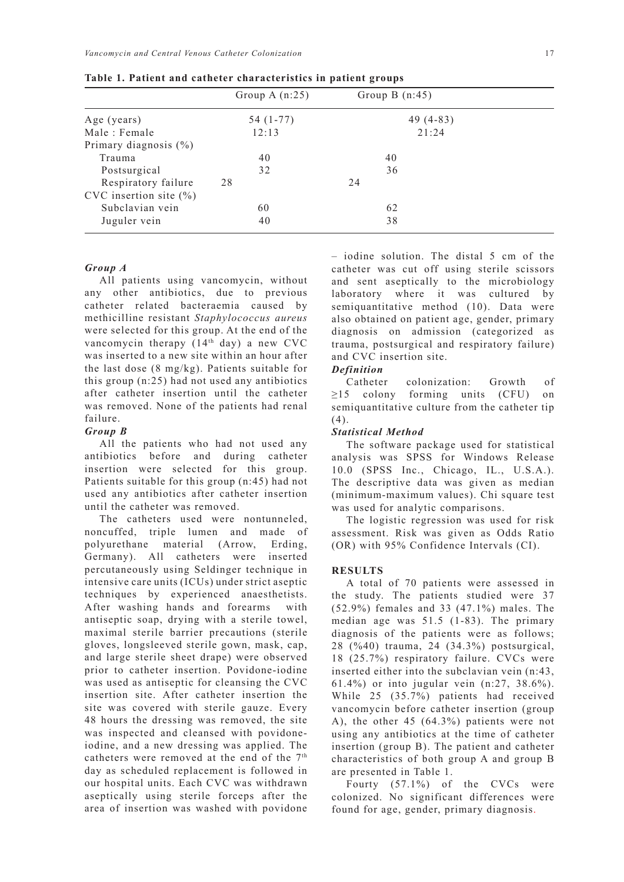|                            | Group A $(n:25)$ | Group B $(n:45)$ |  |
|----------------------------|------------------|------------------|--|
| Age (years)                | 54 (1-77)        | 49 $(4-83)$      |  |
| Male: Female               | 12:13            | 21:24            |  |
| Primary diagnosis $(\% )$  |                  |                  |  |
| Trauma                     | 40               | 40               |  |
| Postsurgical               | 32               | 36               |  |
| Respiratory failure        | 28               | 24               |  |
| CVC insertion site $(\% )$ |                  |                  |  |
| Subclavian vein            | 60               | 62               |  |
| Juguler vein               | 40               | 38               |  |

**Table 1. Patient and catheter characteristics in patient groups**

### *Group A*

All patients using vancomycin, without any other antibiotics, due to previous catheter related bacteraemia caused by methicilline resistant *Staphylococcus aureus*  were selected for this group. At the end of the vancomycin therapy  $(14<sup>th</sup>$  day) a new CVC was inserted to a new site within an hour after the last dose (8 mg/kg). Patients suitable for this group (n:25) had not used any antibiotics after catheter insertion until the catheter was removed. None of the patients had renal failure.

#### *Group B*

All the patients who had not used any antibiotics before and during catheter insertion were selected for this group. Patients suitable for this group (n:45) had not used any antibiotics after catheter insertion until the catheter was removed.

The catheters used were nontunneled, noncuffed, triple lumen and made of polyurethane material (Arrow, Erding, Germany). All catheters were inserted percutaneously using Seldinger technique in intensive care units (ICUs) under strict aseptic techniques by experienced anaesthetists. After washing hands and forearms with antiseptic soap, drying with a sterile towel, maximal sterile barrier precautions (sterile gloves, longsleeved sterile gown, mask, cap, and large sterile sheet drape) were observed prior to catheter insertion. Povidone-iodine was used as antiseptic for cleansing the CVC insertion site. After catheter insertion the site was covered with sterile gauze. Every 48 hours the dressing was removed, the site was inspected and cleansed with povidoneiodine, and a new dressing was applied. The catheters were removed at the end of the 7<sup>th</sup> day as scheduled replacement is followed in our hospital units. Each CVC was withdrawn aseptically using sterile forceps after the area of insertion was washed with povidone – iodine solution. The distal 5 cm of the catheter was cut off using sterile scissors and sent aseptically to the microbiology laboratory where it was cultured by semiquantitative method (10). Data were also obtained on patient age, gender, primary diagnosis on admission (categorized as trauma, postsurgical and respiratory failure) and CVC insertion site.

## *Definition*

Catheter colonization: Growth of ≥15 colony forming units (CFU) on semiquantitative culture from the catheter tip  $(4).$ 

#### *Statistical Method*

The software package used for statistical analysis was SPSS for Windows Release 10.0 (SPSS Inc., Chicago, IL., U.S.A.). The descriptive data was given as median (minimum-maximum values). Chi square test was used for analytic comparisons.

The logistic regression was used for risk assessment. Risk was given as Odds Ratio (OR) with 95% Confidence Intervals (CI).

## **RESULTS**

A total of 70 patients were assessed in the study. The patients studied were 37 (52.9%) females and 33 (47.1%) males. The median age was 51.5 (1-83). The primary diagnosis of the patients were as follows; 28 (%40) trauma, 24 (34.3%) postsurgical, 18 (25.7%) respiratory failure. CVCs were inserted either into the subclavian vein (n:43, 61.4%) or into jugular vein (n:27, 38.6%). While 25 (35.7%) patients had received vancomycin before catheter insertion (group A), the other 45 (64.3%) patients were not using any antibiotics at the time of catheter insertion (group B). The patient and catheter characteristics of both group A and group B are presented in Table 1.

Fourty (57.1%) of the CVCs were colonized. No significant differences were found for age, gender, primary diagnosis.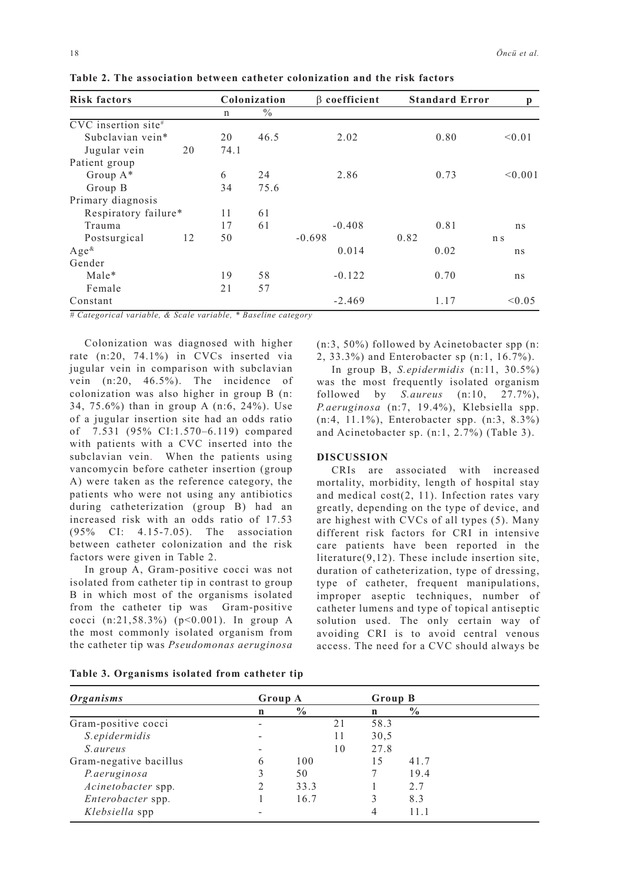| <b>Risk factors</b>          |    | Colonization |               | $\beta$ coefficient | <b>Standard Error</b> | p              |
|------------------------------|----|--------------|---------------|---------------------|-----------------------|----------------|
|                              |    | n            | $\frac{0}{0}$ |                     |                       |                |
| $\text{CVC}$ insertion site# |    |              |               |                     |                       |                |
| Subclavian vein*             |    | 20           | 46.5          | 2.02                | 0.80                  | < 0.01         |
| Jugular vein                 | 20 | 74.1         |               |                     |                       |                |
| Patient group                |    |              |               |                     |                       |                |
| Group A*                     |    | 6            | 24            | 2.86                | 0.73                  | < 0.001        |
| Group B                      |    | 34           | 75.6          |                     |                       |                |
| Primary diagnosis            |    |              |               |                     |                       |                |
| Respiratory failure*         |    | 11           | 61            |                     |                       |                |
| Trauma                       |    | 17           | 61            | $-0.408$            | 0.81                  | ns             |
| Postsurgical                 | 12 | 50           |               | $-0.698$            | 0.82                  | n <sub>s</sub> |
| $Age^{\&}$                   |    |              |               | 0.014               | 0.02                  | ns             |
| Gender                       |    |              |               |                     |                       |                |
| Male*                        |    | 19           | 58            | $-0.122$            | 0.70                  | ns             |
| Female                       |    | 21           | 57            |                     |                       |                |
| Constant                     |    |              |               | $-2.469$            | 1.17                  | < 0.05         |

**Table 2. The association between catheter colonization and the risk factors**

*# Categorical variable, & Scale variable, \* Baseline category*

Colonization was diagnosed with higher rate (n:20, 74.1%) in CVCs inserted via jugular vein in comparison with subclavian vein (n:20, 46.5%). The incidence of colonization was also higher in group B (n: 34, 75.6%) than in group A (n:6, 24%). Use of a jugular insertion site had an odds ratio of 7.531 (95% CI:1.570–6.119) compared with patients with a CVC inserted into the subclavian vein. When the patients using vancomycin before catheter insertion (group A) were taken as the reference category, the patients who were not using any antibiotics during catheterization (group B) had an increased risk with an odds ratio of 17.53 (95% CI: 4.15-7.05). The association between catheter colonization and the risk factors were given in Table 2.

In group A, Gram-positive cocci was not isolated from catheter tip in contrast to group B in which most of the organisms isolated from the catheter tip was Gram-positive cocci (n:21,58.3%) (p<0.001). In group A the most commonly isolated organism from the catheter tip was *Pseudomonas aeruginosa*  (n:3, 50%) followed by Acinetobacter spp (n: 2, 33.3%) and Enterobacter sp (n:1, 16.7%).

In group B, *S.epidermidis* (n:11, 30.5%) was the most frequently isolated organism followed by *S.aureus* (n:10, 27.7%), *P.aeruginosa* (n:7, 19.4%), Klebsiella spp. (n:4, 11.1%), Enterobacter spp. (n:3, 8.3%) and Acinetobacter sp. (n:1, 2.7%) (Table 3).

## **DISCUSSION**

CRIs are associated with increased mortality, morbidity, length of hospital stay and medical cost(2, 11). Infection rates vary greatly, depending on the type of device, and are highest with CVCs of all types (5). Many different risk factors for CRI in intensive care patients have been reported in the literature(9,12). These include insertion site, duration of catheterization, type of dressing, type of catheter, frequent manipulations, improper aseptic techniques, number of catheter lumens and type of topical antiseptic solution used. The only certain way of avoiding CRI is to avoid central venous access. The need for a CVC should always be

| Table 3. Organisms isolated from catheter tip |  |
|-----------------------------------------------|--|
|-----------------------------------------------|--|

| Organisms              | Group A |                |    | Group B |               |  |
|------------------------|---------|----------------|----|---------|---------------|--|
|                        | n       | $\frac{6}{10}$ |    | n       | $\frac{0}{0}$ |  |
| Gram-positive cocci    |         |                | 21 | 58.3    |               |  |
| S.epidermidis          |         |                | 11 | 30.5    |               |  |
| <i>S. aureus</i>       |         |                | 10 | 27.8    |               |  |
| Gram-negative bacillus | 6       | 100            |    | 15      | 41.7          |  |
| P.aeruginosa           | 3       | 50             |    |         | 19.4          |  |
| Acinetobacter spp.     |         | 33.3           |    |         | 27            |  |
| Enterobacter spp.      |         | 16.7           |    |         | 8.3           |  |
| Klebsiella spp         |         |                |    | 4       |               |  |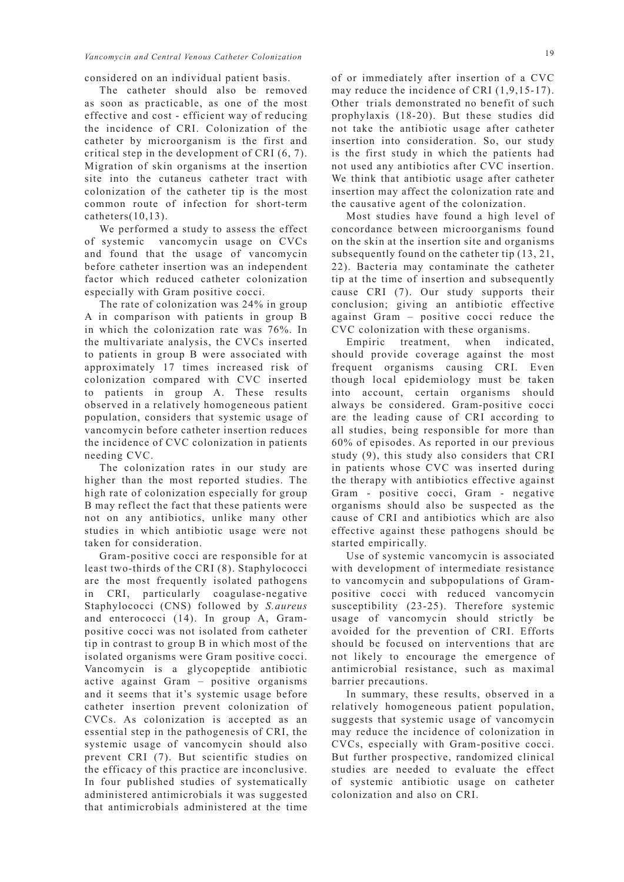considered on an individual patient basis.

The catheter should also be removed as soon as practicable, as one of the most effective and cost - efficient way of reducing the incidence of CRI. Colonization of the catheter by microorganism is the first and critical step in the development of CRI (6, 7). Migration of skin organisms at the insertion site into the cutaneus catheter tract with colonization of the catheter tip is the most common route of infection for short-term catheters $(10,13)$ .

We performed a study to assess the effect of systemic vancomycin usage on CVCs and found that the usage of vancomycin before catheter insertion was an independent factor which reduced catheter colonization especially with Gram positive cocci.

The rate of colonization was 24% in group A in comparison with patients in group B in which the colonization rate was 76%. In the multivariate analysis, the CVCs inserted to patients in group B were associated with approximately 17 times increased risk of colonization compared with CVC inserted to patients in group A. These results observed in a relatively homogeneous patient population, considers that systemic usage of vancomycin before catheter insertion reduces the incidence of CVC colonization in patients needing CVC.

The colonization rates in our study are higher than the most reported studies. The high rate of colonization especially for group B may reflect the fact that these patients were not on any antibiotics, unlike many other studies in which antibiotic usage were not taken for consideration.

Gram-positive cocci are responsible for at least two-thirds of the CRI (8). Staphylococci are the most frequently isolated pathogens in CRI, particularly coagulase-negative Staphylococci (CNS) followed by *S.aureus* and enterococci (14). In group A, Grampositive cocci was not isolated from catheter tip in contrast to group B in which most of the isolated organisms were Gram positive cocci. Vancomycin is a glycopeptide antibiotic active against Gram – positive organisms and it seems that it's systemic usage before catheter insertion prevent colonization of CVCs. As colonization is accepted as an essential step in the pathogenesis of CRI, the systemic usage of vancomycin should also prevent CRI (7). But scientific studies on the efficacy of this practice are inconclusive. In four published studies of systematically administered antimicrobials it was suggested that antimicrobials administered at the time of or immediately after insertion of a CVC may reduce the incidence of CRI  $(1, 9, 15-17)$ . Other trials demonstrated no benefit of such prophylaxis (18-20). But these studies did not take the antibiotic usage after catheter insertion into consideration. So, our study is the first study in which the patients had not used any antibiotics after CVC insertion. We think that antibiotic usage after catheter insertion may affect the colonization rate and the causative agent of the colonization.

Most studies have found a high level of concordance between microorganisms found on the skin at the insertion site and organisms subsequently found on the catheter tip (13, 21, 22). Bacteria may contaminate the catheter tip at the time of insertion and subsequently cause CRI (7). Our study supports their conclusion; giving an antibiotic effective against Gram – positive cocci reduce the CVC colonization with these organisms.

Empiric treatment, when indicated, should provide coverage against the most frequent organisms causing CRI. Even though local epidemiology must be taken into account, certain organisms should always be considered. Gram-positive cocci are the leading cause of CRI according to all studies, being responsible for more than 60% of episodes. As reported in our previous study (9), this study also considers that CRI in patients whose CVC was inserted during the therapy with antibiotics effective against Gram - positive cocci, Gram - negative organisms should also be suspected as the cause of CRI and antibiotics which are also effective against these pathogens should be started empirically.

Use of systemic vancomycin is associated with development of intermediate resistance to vancomycin and subpopulations of Grampositive cocci with reduced vancomycin susceptibility (23-25). Therefore systemic usage of vancomycin should strictly be avoided for the prevention of CRI. Efforts should be focused on interventions that are not likely to encourage the emergence of antimicrobial resistance, such as maximal barrier precautions.

In summary, these results, observed in a relatively homogeneous patient population, suggests that systemic usage of vancomycin may reduce the incidence of colonization in CVCs, especially with Gram-positive cocci. But further prospective, randomized clinical studies are needed to evaluate the effect of systemic antibiotic usage on catheter colonization and also on CRI.